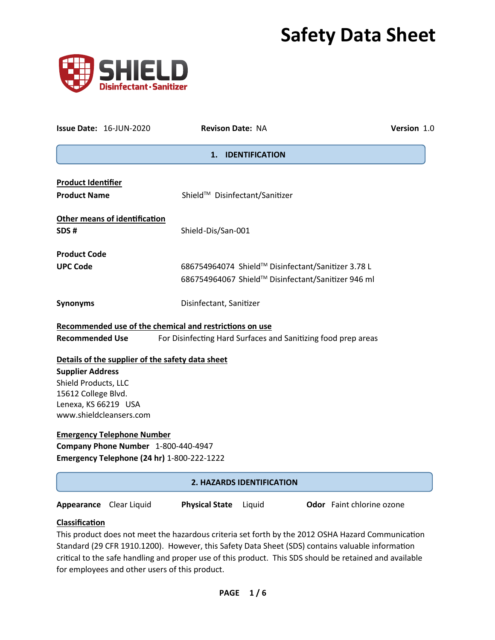# **Safety Data Sheet**



|                                                   | <b>Issue Date: 16-JUN-2020</b>              | <b>Revison Date: NA</b>                                             | Version 1.0 |  |  |
|---------------------------------------------------|---------------------------------------------|---------------------------------------------------------------------|-------------|--|--|
|                                                   |                                             | <b>IDENTIFICATION</b><br>1.                                         |             |  |  |
| <b>Product Identifier</b>                         |                                             |                                                                     |             |  |  |
| <b>Product Name</b>                               |                                             | Shield™ Disinfectant/Sanitizer                                      |             |  |  |
|                                                   | <b>Other means of identification</b>        |                                                                     |             |  |  |
| SDS#                                              |                                             | Shield-Dis/San-001                                                  |             |  |  |
| <b>Product Code</b>                               |                                             |                                                                     |             |  |  |
| <b>UPC Code</b>                                   |                                             | 686754964074 Shield™ Disinfectant/Sanitizer 3.78 L                  |             |  |  |
|                                                   |                                             | 686754964067 Shield™ Disinfectant/Sanitizer 946 ml                  |             |  |  |
| <b>Synonyms</b>                                   |                                             | Disinfectant, Sanitizer                                             |             |  |  |
|                                                   |                                             | Recommended use of the chemical and restrictions on use             |             |  |  |
| <b>Recommended Use</b>                            |                                             | For Disinfecting Hard Surfaces and Sanitizing food prep areas       |             |  |  |
|                                                   |                                             | Details of the supplier of the safety data sheet                    |             |  |  |
| <b>Supplier Address</b>                           |                                             |                                                                     |             |  |  |
|                                                   | Shield Products, LLC                        |                                                                     |             |  |  |
|                                                   | 15612 College Blvd.<br>Lenexa, KS 66219 USA |                                                                     |             |  |  |
| www.shieldcleansers.com                           |                                             |                                                                     |             |  |  |
|                                                   | <b>Emergency Telephone Number</b>           |                                                                     |             |  |  |
| Company Phone Number 1-800-440-4947               |                                             |                                                                     |             |  |  |
| <b>Emergency Telephone (24 hr)</b> 1-800-222-1222 |                                             |                                                                     |             |  |  |
|                                                   |                                             | 2. HAZARDS IDENTIFICATION                                           |             |  |  |
|                                                   | Appearance Clear Liquid                     | <b>Odor</b> Faint chlorine ozone<br><b>Physical State</b><br>Liquid |             |  |  |

# **Classification**

This product does not meet the hazardous criteria set forth by the 2012 OSHA Hazard Communication Standard (29 CFR 1910.1200). However, this Safety Data Sheet (SDS) contains valuable information critical to the safe handling and proper use of this product. This SDS should be retained and available for employees and other users of this product.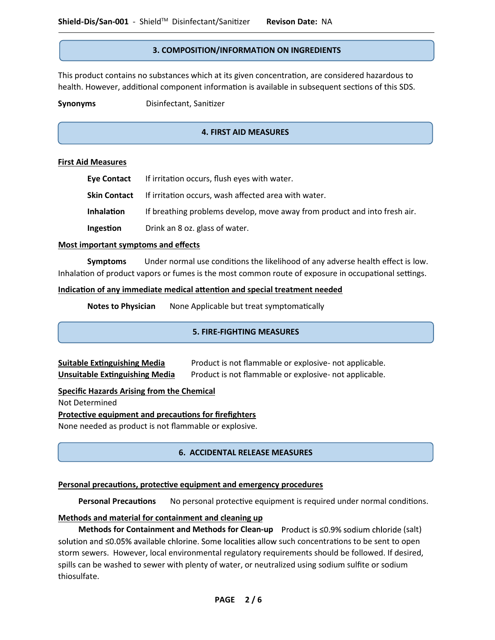## **3. COMPOSITION/INFORMATION ON INGREDIENTS**

This product contains no substances which at its given concentration, are considered hazardous to health. However, additional component information is available in subsequent sections of this SDS.

**Synonyms** Disinfectant, Sanitizer

## **4. FIRST AID MEASURES**

## **First Aid Measures**

 $\overline{\phantom{a}}$ 

|            | Eye Contact If irritation occurs, flush eyes with water.                  |
|------------|---------------------------------------------------------------------------|
|            | <b>Skin Contact</b> If irritation occurs, wash affected area with water.  |
| Inhalation | If breathing problems develop, move away from product and into fresh air. |
| Ingestion  | Drink an 8 oz. glass of water.                                            |

#### **Most important symptoms and effects**

**Symptoms** Under normal use conditions the likelihood of any adverse health effect is low. Inhalation of product vapors or fumes is the most common route of exposure in occupational settings.

#### **Indication of any immediate medical attention and special treatment needed**

**Notes to Physician** None Applicable but treat symptomatically

## **5. FIRE-FIGHTING MEASURES**

**Suitable Extinguishing Media** Product is not flammable or explosive- not applicable. **Unsuitable Extinguishing Media** Product is not flammable or explosive- not applicable.

## **Specific Hazards Arising from the Chemical**

Not Determined

**Protective equipment and precautions for firefighters**

None needed as product is not flammable or explosive.

## **6. ACCIDENTAL RELEASE MEASURES**

## **Personal precautions, protective equipment and emergency procedures**

 **Personal Precautions** No personal protective equipment is required under normal conditions.

## **Methods and material for containment and cleaning up**

 **Methods for Containment and Methods for Clean-up** Product is  $\leq 0.9\%$  sodium chloride (salt) solution and  $\leq$ 0.05% available chlorine. Some localities allow such concentrations to be sent to open storm sewers. However, local environmental regulatory requirements should be followed. If desired, spills can be washed to sewer with plenty of water, or neutralized using sodium sulfite or sodium thiosulfate.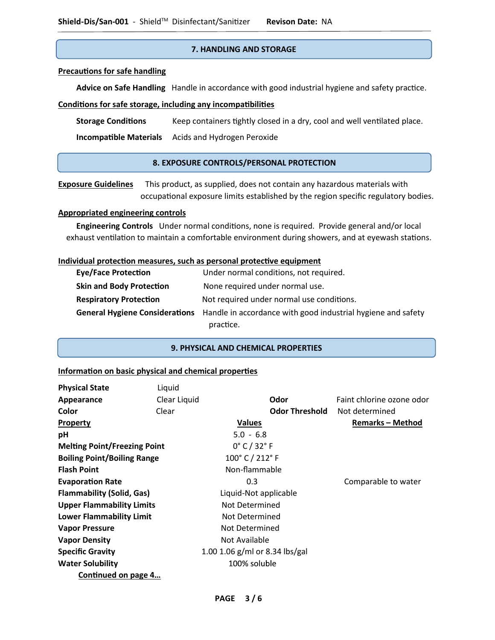## **7. HANDLING AND STORAGE**

## **Precautions for safe handling**

 **Advice on Safe Handling** Handle in accordance with good industrial hygiene and safety practice.

## **Conditions for safe storage, including any incompatibilities**

 **Storage Conditions** Keep containers tightly closed in a dry, cool and well ventilated place.

 **Incompatible Materials** Acids and Hydrogen Peroxide

## **8. EXPOSURE CONTROLS/PERSONAL PROTECTION**

**Exposure Guidelines** This product, as supplied, does not contain any hazardous materials with occupational exposure limits established by the region specific regulatory bodies.

## **Appropriated engineering controls**

 **Engineering Controls** Under normal conditions, none is required. Provide general and/or local exhaust ventilation to maintain a comfortable environment during showers, and at eyewash stations.

#### **Individual protection measures, such as personal protective equipment**

| <b>Eye/Face Protection</b>      | Under normal conditions, not required.                                                      |
|---------------------------------|---------------------------------------------------------------------------------------------|
| <b>Skin and Body Protection</b> | None required under normal use.                                                             |
| <b>Respiratory Protection</b>   | Not required under normal use conditions.                                                   |
|                                 | General Hygiene Considerations Handle in accordance with good industrial hygiene and safety |
|                                 | practice.                                                                                   |

### **9. PHYSICAL AND CHEMICAL PROPERTIES**

## **Information on basic physical and chemical properties**

| <b>Physical State</b>               | Liquid       |                                 |                           |
|-------------------------------------|--------------|---------------------------------|---------------------------|
| Appearance                          | Clear Liquid | Odor                            | Faint chlorine ozone odor |
| Color                               | Clear        | <b>Odor Threshold</b>           | Not determined            |
| <b>Property</b>                     |              | <b>Values</b>                   | <b>Remarks - Method</b>   |
| pH                                  |              | $5.0 - 6.8$                     |                           |
| <b>Melting Point/Freezing Point</b> |              | $0^{\circ}$ C / 32 $^{\circ}$ F |                           |
| <b>Boiling Point/Boiling Range</b>  |              | 100° C / 212° F                 |                           |
| <b>Flash Point</b>                  |              | Non-flammable                   |                           |
| <b>Evaporation Rate</b>             |              | 0.3                             | Comparable to water       |
| <b>Flammability (Solid, Gas)</b>    |              | Liquid-Not applicable           |                           |
| <b>Upper Flammability Limits</b>    |              | Not Determined                  |                           |
| <b>Lower Flammability Limit</b>     |              | Not Determined                  |                           |
| <b>Vapor Pressure</b>               |              | Not Determined                  |                           |
| <b>Vapor Density</b>                |              | Not Available                   |                           |
| <b>Specific Gravity</b>             |              | 1.00 1.06 g/ml or 8.34 lbs/gal  |                           |
| <b>Water Solubility</b>             |              | 100% soluble                    |                           |
| Continued on page 4                 |              |                                 |                           |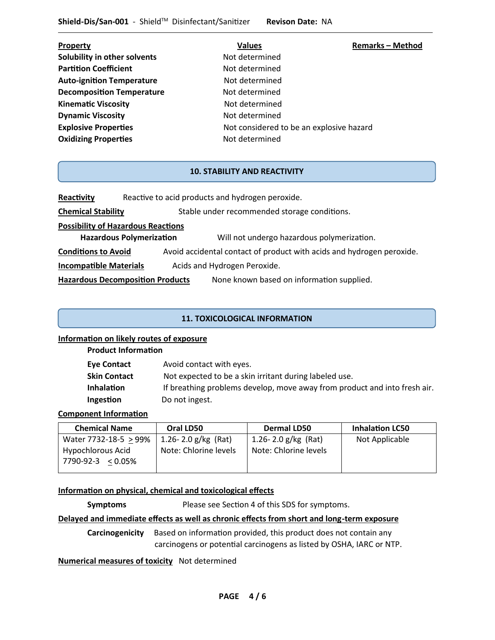| Property                            | <b>Values</b>                            | <b>Remarks-Method</b> |
|-------------------------------------|------------------------------------------|-----------------------|
| <b>Solubility in other solvents</b> | Not determined                           |                       |
| <b>Partition Coefficient</b>        | Not determined                           |                       |
| <b>Auto-ignition Temperature</b>    | Not determined                           |                       |
| <b>Decomposition Temperature</b>    | Not determined                           |                       |
| <b>Kinematic Viscosity</b>          | Not determined                           |                       |
| <b>Dynamic Viscosity</b>            | Not determined                           |                       |
| <b>Explosive Properties</b>         | Not considered to be an explosive hazard |                       |
| <b>Oxidizing Properties</b>         | Not determined                           |                       |
|                                     |                                          |                       |

## **10. STABILITY AND REACTIVITY**

**Reactivity** Reactive to acid products and hydrogen peroxide.

**Chemical Stability** Stable under recommended storage conditions.

**Possibility of Hazardous Reactions**

**Hazardous Polymerization** Will not undergo hazardous polymerization.

**Conditions to Avoid** Avoid accidental contact of product with acids and hydrogen peroxide.

**Incompatible Materials** Acids and Hydrogen Peroxide.

**Hazardous Decomposition Products** None known based on information supplied.

## **11. TOXICOLOGICAL INFORMATION**

## **Information on likely routes of exposure**

**Product Information**

| <b>Eye Contact</b> | Avoid contact with eyes.                                                  |
|--------------------|---------------------------------------------------------------------------|
| Skin Contact       | Not expected to be a skin irritant during labeled use.                    |
| <b>Inhalation</b>  | If breathing problems develop, move away from product and into fresh air. |
| Ingestion          | Do not ingest.                                                            |

## **Component Information**

| Oral LD50             | <b>Dermal LD50</b>      | <b>Inhalation LC50</b> |
|-----------------------|-------------------------|------------------------|
| 1.26-2.0 $g/kg$ (Rat) | 1.26 - 2.0 $g/kg$ (Rat) | Not Applicable         |
| Note: Chlorine levels | Note: Chlorine levels   |                        |
|                       |                         |                        |
|                       |                         |                        |

## **Information on physical, chemical and toxicological effects**

**Symptoms** Please see Section 4 of this SDS for symptoms.

## **Delayed and immediate effects as well as chronic effects from short and long-term exposure**

**Carcinogenicity** Based on information provided, this product does not contain any carcinogens or potential carcinogens as listed by OSHA, IARC or NTP.

**Numerical measures of toxicity** Not determined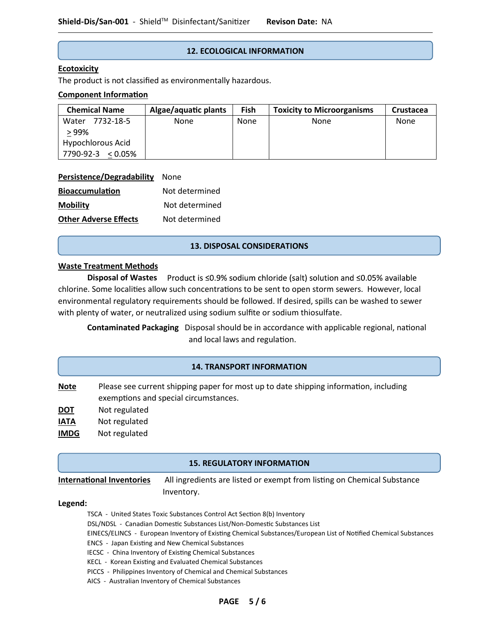## **12. ECOLOGICAL INFORMATION**

## **Ecotoxicity**

The product is not classified as environmentally hazardous.

### **Component Information**

| <b>Chemical Name</b> | Algae/aquatic plants | Fish | <b>Toxicity to Microorganisms</b> | Crustacea |
|----------------------|----------------------|------|-----------------------------------|-----------|
| 7732-18-5<br>Water   | None                 | None | None                              | None      |
| > 99%                |                      |      |                                   |           |
| Hypochlorous Acid    |                      |      |                                   |           |
| 7790-92-3 < 0.05%    |                      |      |                                   |           |

#### **Persistence/Degradability** None

| <b>Bioaccumulation</b>       | Not determined |  |  |
|------------------------------|----------------|--|--|
| <b>Mobility</b>              | Not determined |  |  |
| <b>Other Adverse Effects</b> | Not determined |  |  |

## **13. DISPOSAL CONSIDERATIONS**

## **Waste Treatment Methods**

**Disposal of Wastes** Product is ≤0.9% sodium chloride (salt) solution and ≤0.05% available chlorine. Some localities allow such concentrations to be sent to open storm sewers. However, local environmental regulatory requirements should be followed. If desired, spills can be washed to sewer with plenty of water, or neutralized using sodium sulfite or sodium thiosulfate.

**Contaminated Packaging** Disposal should be in accordance with applicable regional, national and local laws and regulation.

## **14. TRANSPORT INFORMATION**

- **Note** Please see current shipping paper for most up to date shipping information, including exemptions and special circumstances.
- **DOT** Not regulated
- **IATA** Not regulated
- **IMDG** Not regulated

## **15. REGULATORY INFORMATION**

**International Inventories** All ingredients are listed or exempt from listing on Chemical Substance

Inventory.

#### **Legend:**

- TSCA United States Toxic Substances Control Act Section 8(b) Inventory
- DSL/NDSL Canadian Domestic Substances List/Non-Domestic Substances List
- EINECS/ELINCS European Inventory of Existing Chemical Substances/European List of Notified Chemical Substances
- ENCS Japan Existing and New Chemical Substances
- IECSC China Inventory of Existing Chemical Substances
- KECL Korean Existing and Evaluated Chemical Substances
- PICCS Philippines Inventory of Chemical and Chemical Substances
- AICS Australian Inventory of Chemical Substances